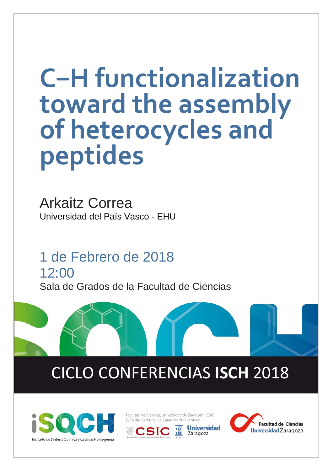# **C−H functionalization toward the assembly of heterocycles and peptides**

Arkaitz Correa Universidad del País Vasco - EHU

1 de Febrero de 2018 12:00 Sala de Grados de la Facultad de Ciencias

# CICLO CONFERENCIAS **ISCH** 2018



Facultad de Ciencias. Universidad de Zaragoza - CSIC C/ Pedro Cerbuna, 12, Zaragoza 50009, Spain

**Jniversidad** 

Zaragoza